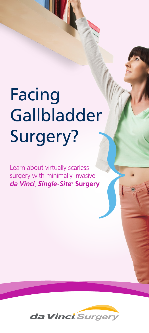## Facing Gallbladder Surgery?

4

Learn about virtually scarless surgery with minimally invasive *da Vinci***®** *Single-Site*® **Property**<br> **Surgery**<br> **Surgery** 

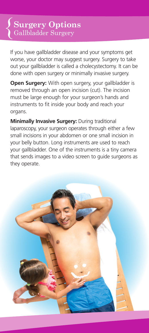## **Surgery Options**<br>Gallbladder Surgery

If you have gallbladder disease and your symptoms get worse, your doctor may suggest surgery. Surgery to take out your gallbladder is called a cholecystectomy. It can be done with open surgery or minimally invasive surgery.

**Open Surgery:** With open surgery, your gallbladder is removed through an open incision (cut). The incision must be large enough for your surgeon's hands and instruments to fit inside your body and reach your organs.

**Minimally Invasive Surgery:** During traditional laparoscopy, your surgeon operates through either a few small incisions in your abdomen or one small incision in your belly button. Long instruments are used to reach your gallbladder. One of the instruments is a tiny camera that sends images to a video screen to guide surgeons as they operate.

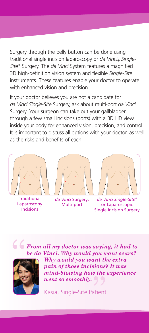Surgery through the belly button can be done using traditional single incision laparoscopy or *da Vinci*® *Single-Site*® Surgery. The *da Vinci* System features a magnified 3D high-definition vision system and flexible *Single-Site*  instruments. These features enable your doctor to operate with enhanced vision and precision.

If your doctor believes you are not a candidate for *da Vinci Single-Site* Surgery, ask about multi-port *da Vinci*  Surgery. Your surgeon can take out your gallbladder through a few small incisions (ports) with a 3D HD view inside your body for enhanced vision, precision, and control. It is important to discuss all options with your doctor, as well as the risks and benefits of each.



Laparoscopy Incisions

*da Vinci* Surgery: Multi-port

*da Vinci Single-Site*® or Laparoscopic Single Incision Surgery





*be da Vinci. Why would you want scars? Why would you want the extra pain of those incisions? It was mind-blowing how the experience went so smoothly.*  $\frac{1}{2}$  ions.

Kasia, Single-Site Patient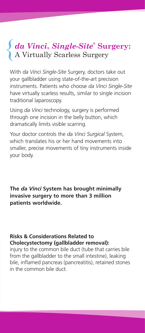# *da Vinci***®** *Single-Site***® Surgery:** { A Virtually Scarless Surgery

With *da Vinci Single-Site* Surgery, doctors take out your gallbladder using state-of-the-art precision instruments. Patients who choose *da Vinci Single-Site* have virtually scarless results, similar to single incision traditional laparoscopy.

Using *da Vinci* technology, surgery is performed through one incision in the belly button, which dramatically limits visible scarring.

Your doctor controls the *da Vinci Surgical* System, which translates his or her hand movements into smaller, precise movements of tiny instruments inside your body.

**The** *da Vinci* **System has brought minimally invasive surgery to more than 3 million patients worldwide.**

### **Risks & Considerations Related to Cholecystectomy (gallbladder removal):**

injury to the common bile duct (tube that carries bile from the gallbladder to the small intestine), leaking bile, inflamed pancreas (pancreatitis), retained stones in the common bile duct.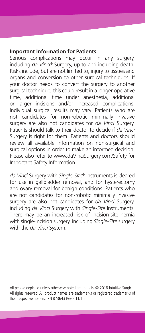#### **Important Information for Patients**

Serious complications may occur in any surgery, including *da Vinci*® Surgery, up to and including death. Risks include, but are not limited to, injury to tissues and organs and conversion to other surgical techniques. If your doctor needs to convert the surgery to another surgical technique, this could result in a longer operative time, additional time under anesthesia, additional or larger incisions and/or increased complications. Individual surgical results may vary. Patients who are not candidates for non-robotic minimally invasive surgery are also not candidates for *da Vinci* Surgery. Patients should talk to their doctor to decide if *da Vinci*  Surgery is right for them. Patients and doctors should review all available information on non-surgical and surgical options in order to make an informed decision. Please also refer to www.daVinciSurgery.com/Safety for Important Safety Information.

*da Vinci* Surgery with *Single-Site*® Instruments is cleared for use in gallbladder removal, and for hysterectomy and ovary removal for benign conditions. Patients who are not candidates for non-robotic minimally invasive surgery are also not candidates for *da Vinci* Surgery, including *da Vinci* Surgery with *Single-Site* Instruments. There may be an increased risk of incision-site hernia with single-incision surgery, including *Single-Site* surgery with the *da Vinci* System.

All people depicted unless otherwise noted are models. © 2016 Intuitive Surgical. All rights reserved. All product names are trademarks or registered trademarks of their respective holders. PN 873643 Rev F 11/16